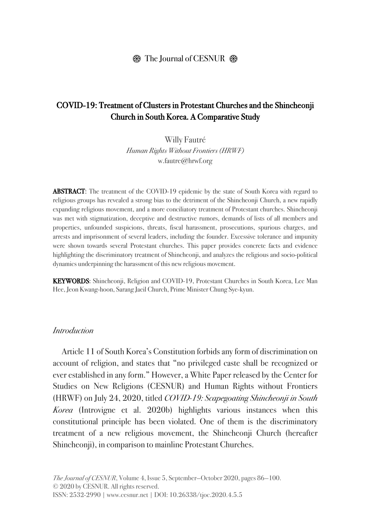#### $\circledR$  The Journal of CESNUR  $\circledR$

## COVID-19: Treatment of Clusters in Protestant Churches and the Shincheonji Church in South Korea. A Comparative Study

Willy Fautré Human Rights Without Frontiers (HRWF) w.fautre@hrwf.org

ABSTRACT: The treatment of the COVID-19 epidemic by the state of South Korea with regard to religious groups has revealed a strong bias to the detriment of the Shincheonji Church, a new rapidly expanding religious movement, and a more conciliatory treatment of Protestant churches. Shincheonji was met with stigmatization, deceptive and destructive rumors, demands of lists of all members and properties, unfounded suspicions, threats, fiscal harassment, prosecutions, spurious charges, and arrests and imprisonment of several leaders, including the founder. Excessive tolerance and impunity were shown towards several Protestant churches. This paper provides concrete facts and evidence highlighting the discriminatory treatment of Shincheonji, and analyzes the religious and socio-political dynamics underpinning the harassment of this new religious movement.

KEYWORDS: Shincheonji, Religion and COVID-19, Protestant Churches in South Korea, Lee Man Hee, Jeon Kwang-hoon, Sarang Jaeil Church, Prime Minister Chung Sye-kyun.

#### *Introduction*

Article 11 of South Korea's Constitution forbids any form of discrimination on account of religion, and states that "no privileged caste shall be recognized or ever established in any form." However, a White Paper released by the Center for Studies on New Religions (CESNUR) and Human Rights without Frontiers (HRWF) on July 24, 2020, titled *COVID-19: Scapegoating Shincheonji in South Korea* (Introvigne et al. 2020b) highlights various instances when this constitutional principle has been violated. One of them is the discriminatory treatment of a new religious movement, the Shincheonji Church (hereafter Shincheonji), in comparison to mainline Protestant Churches.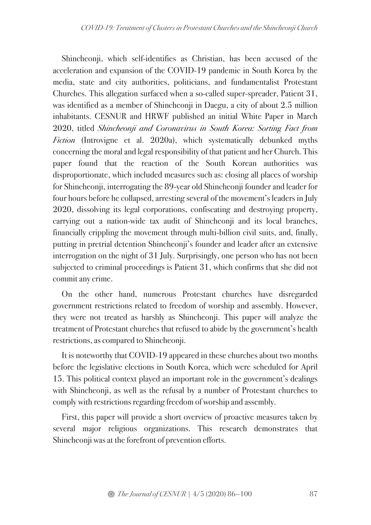Shincheonji, which self-identifies as Christian, has been accused of the acceleration and expansion of the COVID-19 pandemic in South Korea by the media, state and city authorities, politicians, and fundamentalist Protestant Churches. This allegation surfaced when a so-called super-spreader, Patient 31, was identified as a member of Shincheonji in Daegu, a city of about 2.5 million inhabitants. CESNUR and HRWF published an initial White Paper in March 2020, titled *Shincheonji and Coronavirus in South Korea: Sorting Fact from Fiction* (Introvigne et al. 2020a), which systematically debunked myths concerning the moral and legal responsibility of that patient and her Church. This paper found that the reaction of the South Korean authorities was disproportionate, which included measures such as: closing all places of worship for Shincheonji, interrogating the 89-year old Shincheonji founder and leader for four hours before he collapsed, arresting several of the movement's leaders in July 2020, dissolving its legal corporations, confiscating and destroying property, carrying out a nation-wide tax audit of Shincheonji and its local branches, financially crippling the movement through multi-billion civil suits, and, finally, putting in pretrial detention Shincheonji's founder and leader after an extensive interrogation on the night of 31 July. Surprisingly, one person who has not been subjected to criminal proceedings is Patient 31, which confirms that she did not commit any crime.

On the other hand, numerous Protestant churches have disregarded government restrictions related to freedom of worship and assembly. However, they were not treated as harshly as Shincheonji. This paper will analyze the treatment of Protestant churches that refused to abide by the government's health restrictions, as compared to Shincheonji.

It is noteworthy that COVID-19 appeared in these churches about two months before the legislative elections in South Korea, which were scheduled for April 15. This political context played an important role in the government's dealings with Shincheonji, as well as the refusal by a number of Protestant churches to comply with restrictions regarding freedom of worship and assembly.

First, this paper will provide a short overview of proactive measures taken by several major religious organizations. This research demonstrates that Shincheonji was at the forefront of prevention efforts.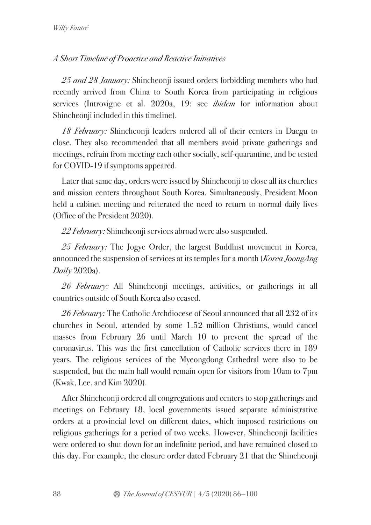# *A Short Timeline of Proactive and Reactive Initiatives*

*25 and 28 January:* Shincheonji issued orders forbidding members who had recently arrived from China to South Korea from participating in religious services (Introvigne et al. 2020a, 19: see *ibidem* for information about Shincheonji included in this timeline).

*18 February:* Shincheonji leaders ordered all of their centers in Daegu to close. They also recommended that all members avoid private gatherings and meetings, refrain from meeting each other socially, self-quarantine, and be tested for COVID-19 if symptoms appeared.

Later that same day, orders were issued by Shincheonji to close all its churches and mission centers throughout South Korea. Simultaneously, President Moon held a cabinet meeting and reiterated the need to return to normal daily lives (Office of the President 2020).

*22 February:* Shincheonji services abroad were also suspended.

*25 February:* The Jogye Order, the largest Buddhist movement in Korea, announced the suspension of services at its temples for a month (*Korea JoongAng Daily* 2020a).

*26 February:* All Shincheonji meetings, activities, or gatherings in all countries outside of South Korea also ceased.

*26 February:* The Catholic Archdiocese of Seoul announced that all 232 of its churches in Seoul, attended by some 1.52 million Christians, would cancel masses from February 26 until March 10 to prevent the spread of the coronavirus. This was the first cancellation of Catholic services there in 189 years. The religious services of the Myeongdong Cathedral were also to be suspended, but the main hall would remain open for visitors from 10am to 7pm (Kwak, Lee, and Kim 2020).

After Shincheonji ordered all congregations and centers to stop gatherings and meetings on February 18, local governments issued separate administrative orders at a provincial level on different dates, which imposed restrictions on religious gatherings for a period of two weeks. However, Shincheonji facilities were ordered to shut down for an indefinite period, and have remained closed to this day. For example, the closure order dated February 21 that the Shincheonji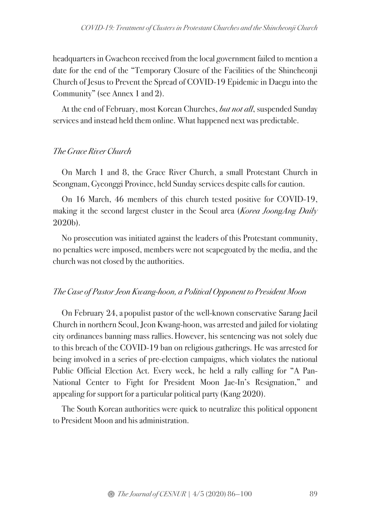headquarters in Gwacheon received from the local government failed to mention a date for the end of the "Temporary Closure of the Facilities of the Shincheonji Church of Jesus to Prevent the Spread of COVID-19 Epidemic in Daegu into the Community" (see Annex 1 and 2).

At the end of February, most Korean Churches, *but not all*, suspended Sunday services and instead held them online. What happened next was predictable.

# *The Grace River Church*

On March 1 and 8, the Grace River Church, a small Protestant Church in Seongnam, Gyeonggi Province, held Sunday services despite calls for caution.

On 16 March, 46 members of this church tested positive for COVID-19, making it the second largest cluster in the Seoul area (*Korea JoongAng Daily* 2020b).

No prosecution was initiated against the leaders of this Protestant community, no penalties were imposed, members were not scapegoated by the media, and the church was not closed by the authorities.

# *The Case of Pastor Jeon Kwang-hoon, a Political Opponent to President Moon*

On February 24, a populist pastor of the well-known conservative Sarang Jaeil Church in northern Seoul, Jeon Kwang-hoon, was arrested and jailed for violating city ordinances banning mass rallies.However, his sentencing was not solely due to this breach of the COVID-19 ban on religious gatherings. He was arrested for being involved in a series of pre-election campaigns, which violates the national Public Official Election Act. Every week, he held a rally calling for "A Pan-National Center to Fight for President Moon Jae-In's Resignation," and appealing for support for a particular political party (Kang 2020).

The South Korean authorities were quick to neutralize this political opponent to President Moon and his administration.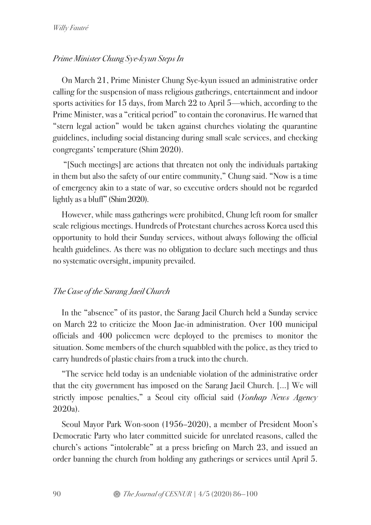## *Prime Minister Chung Sye-kyun Steps In*

On March 21, Prime Minister Chung Sye-kyun issued an administrative order calling for the suspension of mass religious gatherings, entertainment and indoor sports activities for 15 days, from March 22 to April 5—which, according to the Prime Minister, was a "critical period" to contain the coronavirus. He warned that "stern legal action" would be taken against churches violating the quarantine guidelines, including social distancing during small scale services, and checking congregants' temperature (Shim 2020).

"[Such meetings] are actions that threaten not only the individuals partaking in them but also the safety of our entire community," Chung said. "Now is a time of emergency akin to a state of war, so executive orders should not be regarded lightly as a bluff" (Shim 2020).

However, while mass gatherings were prohibited, Chung left room for smaller scale religious meetings. Hundreds of Protestant churches across Korea used this opportunity to hold their Sunday services, without always following the official health guidelines. As there was no obligation to declare such meetings and thus no systematic oversight, impunity prevailed.

#### *The Case of the Sarang Jaeil Church*

In the "absence" of its pastor, the Sarang Jaeil Church held a Sunday service on March 22 to criticize the Moon Jae-in administration. Over 100 municipal officials and 400 policemen were deployed to the premises to monitor the situation. Some members of the church squabbled with the police, as they tried to carry hundreds of plastic chairs from a truck into the church.

"The service held today is an undeniable violation of the administrative order that the city government has imposed on the Sarang Jaeil Church. [...] We will strictly impose penalties," a Seoul city official said (*Yonhap News Agency* 2020a).

Seoul Mayor Park Won-soon (1956–2020), a member of President Moon's Democratic Party who later committed suicide for unrelated reasons, called the church's actions "intolerable" at a press briefing on March 23, and issued an order banning the church from holding any gatherings or services until April 5.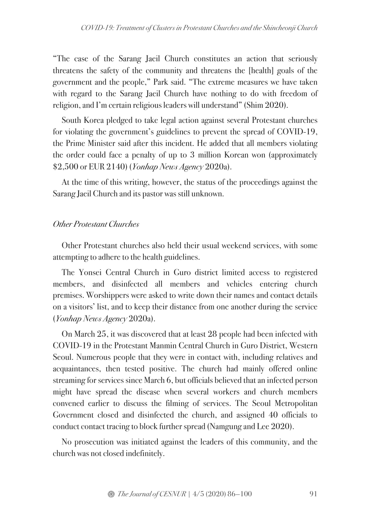"The case of the Sarang Jaeil Church constitutes an action that seriously threatens the safety of the community and threatens the [health] goals of the government and the people," Park said. "The extreme measures we have taken with regard to the Sarang Jaeil Church have nothing to do with freedom of religion, and I'm certain religious leaders will understand" (Shim 2020).

South Korea pledged to take legal action against several Protestant churches for violating the government's guidelines to prevent the spread of COVID-19, the Prime Minister said after this incident. He added that all members violating the order could face a penalty of up to 3 million Korean won (approximately \$2,500 or EUR 2140) (*Yonhap News Agency* 2020a).

At the time of this writing, however, the status of the proceedings against the Sarang Jaeil Church and its pastor was still unknown.

#### *Other Protestant Churches*

Other Protestant churches also held their usual weekend services, with some attempting to adhere to the health guidelines.

The Yonsei Central Church in Guro district limited access to registered members, and disinfected all members and vehicles entering church premises. Worshippers were asked to write down their names and contact details on a visitors' list, and to keep their distance from one another during the service (*Yonhap News Agency* 2020a).

On March 25, it was discovered that at least 28 people had been infected with COVID-19 in the Protestant Manmin Central Church in Guro District, Western Seoul. Numerous people that they were in contact with, including relatives and acquaintances, then tested positive. The church had mainly offered online streaming for services since March 6, but officials believed that an infected person might have spread the disease when several workers and church members convened earlier to discuss the filming of services. The Seoul Metropolitan Government closed and disinfected the church, and assigned 40 officials to conduct contact tracing to block further spread (Namgung and Lee 2020).

No prosecution was initiated against the leaders of this community, and the church was not closed indefinitely.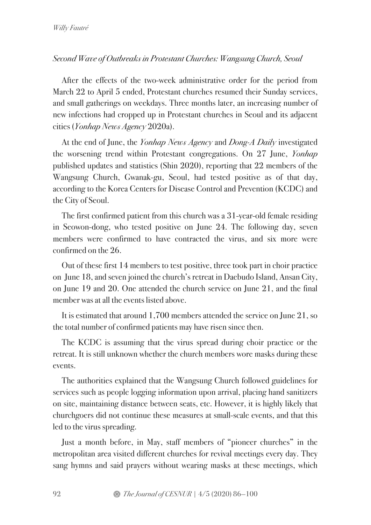## *Second Wave of Outbreaks in Protestant Churches: Wangsung Church, Seoul*

After the effects of the two-week administrative order for the period from March 22 to April 5 ended, Protestant churches resumed their Sunday services, and small gatherings on weekdays. Three months later, an increasing number of new infections had cropped up in Protestant churches in Seoul and its adjacent cities (*Yonhap News Agency* 2020a).

At the end of June, the *Yonhap News Agency* and *Dong-A Daily* investigated the worsening trend within Protestant congregations. On 27 June, *Yonhap* published updates and statistics (Shin 2020), reporting that 22 members of the Wangsung Church, Gwanak-gu, Seoul, had tested positive as of that day, according to the Korea Centers for Disease Control and Prevention (KCDC) and the City of Seoul.

The first confirmed patient from this church was a 31-year-old female residing in Seowon-dong, who tested positive on June 24. The following day, seven members were confirmed to have contracted the virus, and six more were confirmed on the 26.

Out of these first 14 members to test positive, three took part in choir practice on June 18, and seven joined the church's retreat in Daebudo Island, Ansan City, on June 19 and 20. One attended the church service on June 21, and the final member was at all the events listed above.

It is estimated that around 1,700 members attended the service on June 21, so the total number of confirmed patients may have risen since then.

The KCDC is assuming that the virus spread during choir practice or the retreat. It is still unknown whether the church members wore masks during these events.

The authorities explained that the Wangsung Church followed guidelines for services such as people logging information upon arrival, placing hand sanitizers on site, maintaining distance between seats, etc. However, it is highly likely that churchgoers did not continue these measures at small-scale events, and that this led to the virus spreading.

Just a month before, in May, staff members of "pioneer churches" in the metropolitan area visited different churches for revival meetings every day. They sang hymns and said prayers without wearing masks at these meetings, which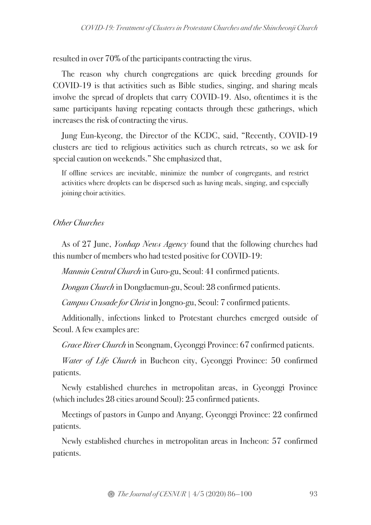resulted in over 70% of the participants contracting the virus.

The reason why church congregations are quick breeding grounds for COVID-19 is that activities such as Bible studies, singing, and sharing meals involve the spread of droplets that carry COVID-19. Also, oftentimes it is the same participants having repeating contacts through these gatherings, which increases the risk of contracting the virus.

Jung Eun-kyeong, the Director of the KCDC, said, "Recently, COVID-19 clusters are tied to religious activities such as church retreats, so we ask for special caution on weekends." She emphasized that,

If offline services are inevitable, minimize the number of congregants, and restrict activities where droplets can be dispersed such as having meals, singing, and especially joining choir activities.

# *Other Churches*

As of 27 June, *Yonhap News Agency* found that the following churches had this number of members who had tested positive for COVID-19:

*Manmin Central Church* in Guro-gu, Seoul: 41 confirmed patients.

*Dongan Church* in Dongdaemun-gu, Seoul: 28 confirmed patients.

*Campus Crusade for Christ* in Jongno-gu, Seoul: 7 confirmed patients.

Additionally, infections linked to Protestant churches emerged outside of Seoul. A few examples are:

*Grace River Church* in Seongnam, Gyeonggi Province: 67 confirmed patients.

*Water of Life Church* in Bucheon city, Gyeonggi Province: 50 confirmed patients.

Newly established churches in metropolitan areas, in Gyeonggi Province (which includes 28 cities around Seoul): 25 confirmed patients.

Meetings of pastors in Gunpo and Anyang, Gyeonggi Province: 22 confirmed patients.

Newly established churches in metropolitan areas in Incheon: 57 confirmed patients.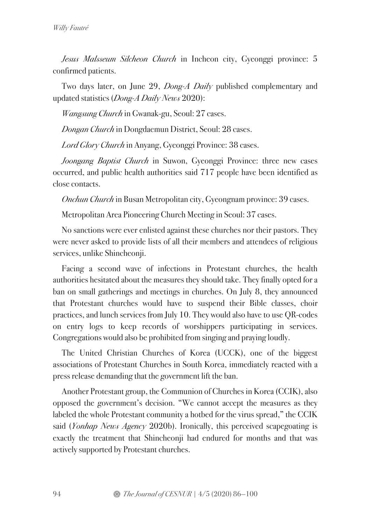*Jesus Malsseum Silcheon Church* in Incheon city, Gyeonggi province: 5 confirmed patients.

Two days later, on June 29, *Dong-A Daily* published complementary and updated statistics (*Dong-A Daily News* 2020):

*Wangsung Church* in Gwanak-gu, Seoul: 27 cases.

*Dongan Church* in Dongdaemun District, Seoul: 28 cases.

*Lord Glory Church* in Anyang, Gyeonggi Province: 38 cases.

*Joongang Baptist Church* in Suwon, Gyeonggi Province: three new cases occurred, and public health authorities said 717 people have been identified as close contacts.

*Onchun Church* in Busan Metropolitan city, Gyeongnam province: 39 cases.

Metropolitan Area Pioneering Church Meeting in Seoul: 37 cases.

No sanctions were ever enlisted against these churches nor their pastors. They were never asked to provide lists of all their members and attendees of religious services, unlike Shincheonji.

Facing a second wave of infections in Protestant churches, the health authorities hesitated about the measures they should take. They finally opted for a ban on small gatherings and meetings in churches. On July 8, they announced that Protestant churches would have to suspend their Bible classes, choir practices, and lunch services from July 10. They would also have to use QR-codes on entry logs to keep records of worshippers participating in services. Congregations would also be prohibited from singing and praying loudly.

The United Christian Churches of Korea (UCCK), one of the biggest associations of Protestant Churches in South Korea, immediately reacted with a press release demanding that the government lift the ban.

Another Protestant group, the Communion of Churches in Korea (CCIK), also opposed the government's decision. "We cannot accept the measures as they labeled the whole Protestant community a hotbed for the virus spread," the CCIK said (*Yonhap News Agency* 2020b). Ironically, this perceived scapegoating is exactly the treatment that Shincheonji had endured for months and that was actively supported by Protestant churches.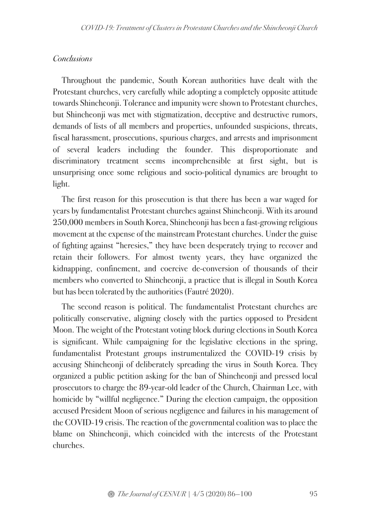## *Conclusions*

Throughout the pandemic, South Korean authorities have dealt with the Protestant churches, very carefully while adopting a completely opposite attitude towards Shincheonji. Tolerance and impunity were shown to Protestant churches, but Shincheonji was met with stigmatization, deceptive and destructive rumors, demands of lists of all members and properties, unfounded suspicions, threats, fiscal harassment, prosecutions, spurious charges, and arrests and imprisonment of several leaders including the founder. This disproportionate and discriminatory treatment seems incomprehensible at first sight, but is unsurprising once some religious and socio-political dynamics are brought to light.

The first reason for this prosecution is that there has been a war waged for years by fundamentalist Protestant churches against Shincheonji. With its around 250,000 members in South Korea, Shincheonji has been a fast-growing religious movement at the expense of the mainstream Protestant churches. Under the guise of fighting against "heresies," they have been desperately trying to recover and retain their followers. For almost twenty years, they have organized the kidnapping, confinement, and coercive de-conversion of thousands of their members who converted to Shincheonji, a practice that is illegal in South Korea but has been tolerated by the authorities (Fautré 2020).

The second reason is political. The fundamentalist Protestant churches are politically conservative, aligning closely with the parties opposed to President Moon. The weight of the Protestant voting block during elections in South Korea is significant. While campaigning for the legislative elections in the spring, fundamentalist Protestant groups instrumentalized the COVID-19 crisis by accusing Shincheonji of deliberately spreading the virus in South Korea. They organized a public petition asking for the ban of Shincheonji and pressed local prosecutors to charge the 89-year-old leader of the Church, Chairman Lee, with homicide by "willful negligence." During the election campaign, the opposition accused President Moon of serious negligence and failures in his management of the COVID-19 crisis. The reaction of the governmental coalition was to place the blame on Shincheonji, which coincided with the interests of the Protestant churches.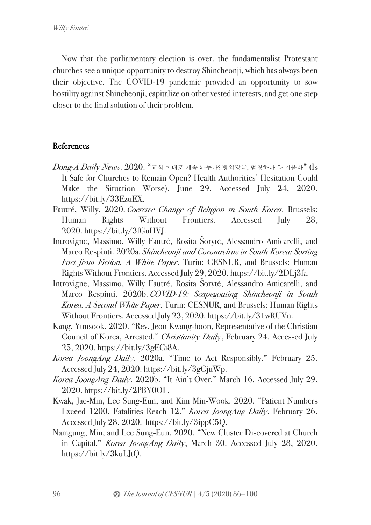Now that the parliamentary election is over, the fundamentalist Protestant churches see a unique opportunity to destroy Shincheonji, which has always been their objective. The COVID-19 pandemic provided an opportunity to sow hostility against Shincheonji, capitalize on other vested interests, and get one step closer to the final solution of their problem.

## **References**

- *Dong-A Daily News*. 2020. "교회 이대로 계속 놔두나? 방역당국, 멈칫하다 화 키울라" (Is It Safe for Churches to Remain Open? Health Authorities' Hesitation Could Make the Situation Worse). June 29. Accessed July 24, 2020. https://bit.ly/33EzuEX.
- Fautré, Willy. 2020. *Coercive Change of Religion in South Korea*. Brussels: Human Rights Without Frontiers. Accessed July 28, 2020. https://bit.ly/3fGuHVJ.
- Introvigne, Massimo, Willy Fautré, Rosita Šorytė, Alessandro Amicarelli, and Marco Respinti. 2020a. *Shincheonji and Coronavirus in South Korea: Sorting Fact from Fiction. A White Paper*. Turin: CESNUR, and Brussels: Human Rights Without Frontiers. Accessed July 29, 2020. https://bit.ly/2DLj3fa.
- Introvigne, Massimo, Willy Fautré, Rosita Šorytė, Alessandro Amicarelli, and Marco Respinti. 2020b. *COVID-19: Scapegoating Shincheonji in South Korea. A Second White Paper*. Turin: CESNUR, and Brussels: Human Rights Without Frontiers. Accessed July 23, 2020. https://bit.ly/31wRUVn.
- Kang, Yunsook. 2020. "Rev. Jeon Kwang-hoon, Representative of the Christian Council of Korea, Arrested." *Christianity Daily*, February 24. Accessed July 25, 2020. https://bit.ly/3gECi8A.
- *Korea JoongAng Daily*. 2020a. "Time to Act Responsibly." February 25. Accessed July 24, 2020. https://bit.ly/3gGjuWp.
- *Korea JoongAng Daily*. 2020b. "It Ain't Over." March 16. Accessed July 29, 2020. https://bit.ly/2PBY0OF.
- Kwak, Jae-Min, Lee Sung-Eun, and Kim Min-Wook. 2020. "Patient Numbers Exceed 1200, Fatalities Reach 12." *Korea JoongAng Daily*, February 26. Accessed July 28, 2020. https://bit.ly/3ippC5Q.
- Namgung, Min, and Lee Sung-Eun. 2020. "New Cluster Discovered at Church in Capital." *Korea JoongAng Daily*, March 30. Accessed July 28, 2020. https://bit.ly/3kuLJtQ.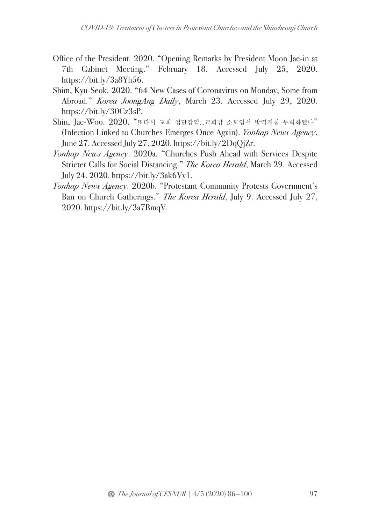- Office of the President. 2020. "Opening Remarks by President Moon Jae-in at 7th Cabinet Meeting." February 18. Accessed July 25, 2020. https://bit.ly/3a8Yh56.
- Shim, Kyu-Seok. 2020. "64 New Cases of Coronavirus on Monday, Some from Abroad." *Korea JoongAng Daily*, March 23. Accessed July 29, 2020. https://bit.ly/30Cz3sP.
- Shin, Jae-Woo. 2020. "또다시 교회 집단감염…교회밖 소모임서 방역지침 무력화됐나" (Infection Linked to Churches Emerges Once Again). *Yonhap News Agency*, June 27. Accessed July 27, 2020. https://bit.ly/2DqQjZr.
- *Yonhap News Agency*. 2020a. "Churches Push Ahead with Services Despite Stricter Calls for Social Distancing." *The Korea Herald*, March 29. Accessed July 24, 2020. https://bit.ly/3ak6Vy1.
- *Yonhap News Agency*. 2020b. "Protestant Community Protests Government's Ban on Church Gatherings." *The Korea Herald*, July 9. Accessed July 27, 2020. https://bit.ly/3a7BmqV.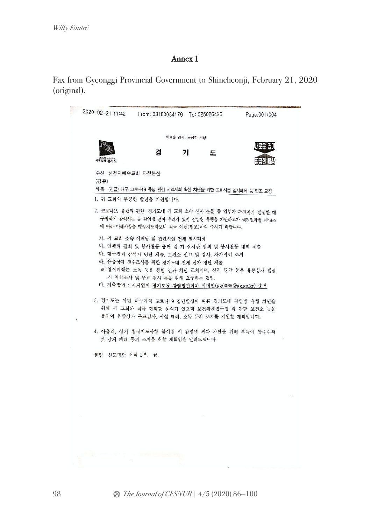# Annex 1

Fax from Gyeonggi Provincial Government to Shincheonji, February 21, 2020 (original).

|                 | 2020-02-21 11:42 From: 03180084179 To: 025026426                             |                | Page.001/004                                                                                               |
|-----------------|------------------------------------------------------------------------------|----------------|------------------------------------------------------------------------------------------------------------|
|                 |                                                                              | 새로운 경기, 공정한 세상 |                                                                                                            |
|                 |                                                                              |                | 새로운 경기                                                                                                     |
| 세계속의 경기도        | 경                                                                            | 71<br>도        | 음성한 내상                                                                                                     |
| 수신 신천지예수교회 과천본산 |                                                                              |                |                                                                                                            |
| (경유)            |                                                                              |                |                                                                                                            |
|                 |                                                                              |                | 제목 (긴급) 대구 코로나19 유행 관련 지역사회 확산 차단을 위한 교회사설 일시폐쇄 등 협조 요청                                                    |
|                 | 1. 귀 교회의 무궁한 발전을 기원합니다.                                                      |                |                                                                                                            |
|                 | 에 따라 아래사항을 행정지도하오니 적극 이행(협조)하여 주시기 바랍니다.                                     |                | 2. 코로나19 유행과 관련, 경기도내 귀 교회 소속 신자 분들 중 일부가 확진자가 발생한 대<br>구집회에 참석하는 등 감염병 전파 우려가 있어 감염병 유행을 차단하고자 행정절차법 제49조 |
|                 | 가. 귀 교회 소속 예배당 및 관련시설 전체 일시폐쇄                                                |                |                                                                                                            |
|                 | 나. 일체의 집회 및 봉사활동 중단 및 기 실시한 집회 및 봉사활동 내역 제출                                  |                |                                                                                                            |
|                 | 다. 대구집회 참석자 명단 제출, 보건소 신고 및 검사, 자가격리 조치<br>라. 유중상자 전수조사를 위한 경기도내 전체 신자 명단 제출 |                |                                                                                                            |
|                 | 시 역학조사 및 무료 검사 등을 위해 요구하는 것임.                                                |                | ※ 일시폐쇄는 소독 등을 통한 전파 차단 조치이며, 신자 명단 등은 유증상자 발생                                                              |
|                 | 마. 제출방법 : 지체없이 경기도청 감염병관리과 이메일(gg0065@gg.go.kr) 송부                           |                |                                                                                                            |
|                 |                                                                              |                | 3. 경기도는 이번 대구지역 코로나19 집단발생에 따른 경기도내 감염병 유행 차단을                                                             |
|                 | 통하여 유증상자 무료검사, 시설 폐쇄, 소독 등의 조치를 지원할 계획입니다.                                   |                | 위해 귀 교회와 적극 협의할 용의가 있으며 보건환경연구원 및 관할 보건소 등을                                                                |
|                 |                                                                              |                |                                                                                                            |

붙임 신도명단 서식 2부. 끝.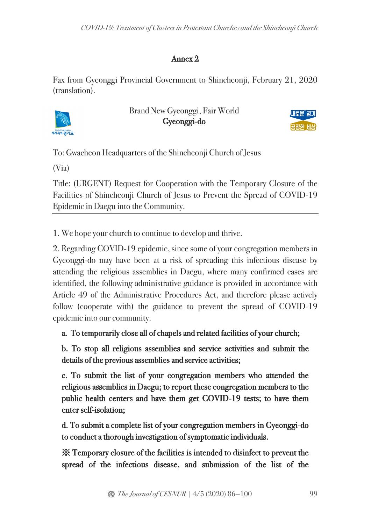# Annex 2

Fax from Gyeonggi Provincial Government to Shincheonji, February 21, 2020 (translation).



Brand New Gyeonggi, Fair World Gyeonggi-do



To: Gwacheon Headquarters of the Shincheonji Church of Jesus

(Via)

Title: (URGENT) Request for Cooperation with the Temporary Closure of the Facilities of Shincheonji Church of Jesus to Prevent the Spread of COVID-19 Epidemic in Daegu into the Community.

1. We hope your church to continue to develop and thrive.

2. Regarding COVID-19 epidemic, since some of your congregation members in Gyeonggi-do may have been at a risk of spreading this infectious disease by attending the religious assemblies in Daegu, where many confirmed cases are identified, the following administrative guidance is provided in accordance with Article 49 of the Administrative Procedures Act, and therefore please actively follow (cooperate with) the guidance to prevent the spread of COVID-19 epidemic into our community.

a. To temporarily close all of chapels and related facilities of your church;

b. To stop all religious assemblies and service activities and submit the details of the previous assemblies and service activities;

c. To submit the list of your congregation members who attended the religious assemblies in Daegu; to report these congregation members to the public health centers and have them get COVID-19 tests; to have them enter self-isolation;

d. To submit a complete list of your congregation members in Gyeonggi-do to conduct a thorough investigation of symptomatic individuals.

※ Temporary closure of the facilities is intended to disinfect to prevent the spread of the infectious disease, and submission of the list of the